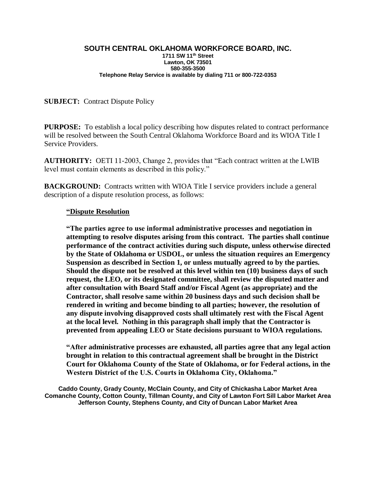#### **SOUTH CENTRAL OKLAHOMA WORKFORCE BOARD, INC. 1711 SW 11th Street Lawton, OK 73501 580-355-3500 Telephone Relay Service is available by dialing 711 or 800-722-0353**

### **SUBJECT:** Contract Dispute Policy

**PURPOSE:** To establish a local policy describing how disputes related to contract performance will be resolved between the South Central Oklahoma Workforce Board and its WIOA Title I Service Providers.

**AUTHORITY:** OETI 11-2003, Change 2, provides that "Each contract written at the LWIB level must contain elements as described in this policy."

**BACKGROUND:** Contracts written with WIOA Title I service providers include a general description of a dispute resolution process, as follows:

### **"Dispute Resolution**

**"The parties agree to use informal administrative processes and negotiation in attempting to resolve disputes arising from this contract. The parties shall continue performance of the contract activities during such dispute, unless otherwise directed by the State of Oklahoma or USDOL, or unless the situation requires an Emergency Suspension as described in Section 1, or unless mutually agreed to by the parties. Should the dispute not be resolved at this level within ten (10) business days of such request, the LEO, or its designated committee, shall review the disputed matter and after consultation with Board Staff and/or Fiscal Agent (as appropriate) and the Contractor, shall resolve same within 20 business days and such decision shall be rendered in writing and become binding to all parties; however, the resolution of any dispute involving disapproved costs shall ultimately rest with the Fiscal Agent at the local level. Nothing in this paragraph shall imply that the Contractor is prevented from appealing LEO or State decisions pursuant to WIOA regulations.**

**"After administrative processes are exhausted, all parties agree that any legal action brought in relation to this contractual agreement shall be brought in the District Court for Oklahoma County of the State of Oklahoma, or for Federal actions, in the Western District of the U.S. Courts in Oklahoma City, Oklahoma."**

**Caddo County, Grady County, McClain County, and City of Chickasha Labor Market Area Comanche County, Cotton County, Tillman County, and City of Lawton Fort Sill Labor Market Area Jefferson County, Stephens County, and City of Duncan Labor Market Area**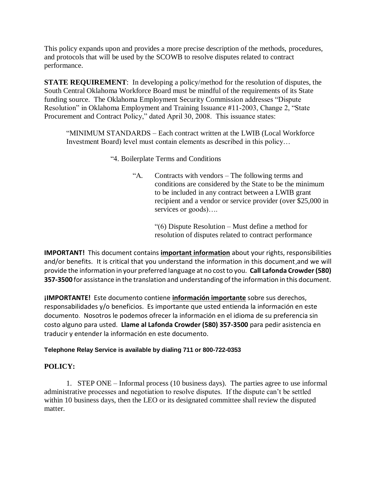This policy expands upon and provides a more precise description of the methods, procedures, and protocols that will be used by the SCOWB to resolve disputes related to contract performance.

**STATE REQUIREMENT:** In developing a policy/method for the resolution of disputes, the South Central Oklahoma Workforce Board must be mindful of the requirements of its State funding source. The Oklahoma Employment Security Commission addresses "Dispute Resolution" in Oklahoma Employment and Training Issuance #11-2003, Change 2, "State Procurement and Contract Policy," dated April 30, 2008. This issuance states:

"MINIMUM STANDARDS – Each contract written at the LWIB (Local Workforce Investment Board) level must contain elements as described in this policy…

"4. Boilerplate Terms and Conditions

"A. Contracts with vendors – The following terms and conditions are considered by the State to be the minimum to be included in any contract between a LWIB grant recipient and a vendor or service provider (over \$25,000 in services or goods)….

> "(6) Dispute Resolution – Must define a method for resolution of disputes related to contract performance

**IMPORTANT!** This document contains **important information** about your rights, responsibilities and/or benefits. It is critical that you understand the information in this document,and we will provide the information in your preferred language at no cost to you. **Call Lafonda Crowder (580) 357-3500** for assistance in the translation and understanding of the information in this document.

**¡IMPORTANTE!** Este documento contiene **información importante** sobre sus derechos, responsabilidades y/o beneficios. Es importante que usted entienda la información en este documento. Nosotros le podemos ofrecer la información en el idioma de su preferencia sin costo alguno para usted. **Llame al Lafonda Crowder (580) 357-3500** para pedir asistencia en traducir y entender la información en este documento.

### **Telephone Relay Service is available by dialing 711 or 800-722-0353**

# **POLICY:**

1. STEP ONE – Informal process (10 business days). The parties agree to use informal administrative processes and negotiation to resolve disputes. If the dispute can't be settled within 10 business days, then the LEO or its designated committee shall review the disputed matter.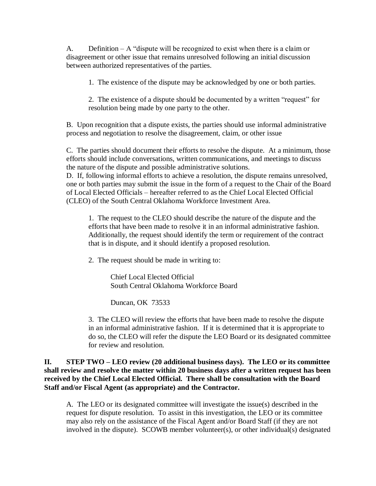A. Definition – A "dispute will be recognized to exist when there is a claim or disagreement or other issue that remains unresolved following an initial discussion between authorized representatives of the parties.

1. The existence of the dispute may be acknowledged by one or both parties.

2. The existence of a dispute should be documented by a written "request" for resolution being made by one party to the other.

B. Upon recognition that a dispute exists, the parties should use informal administrative process and negotiation to resolve the disagreement, claim, or other issue

C. The parties should document their efforts to resolve the dispute. At a minimum, those efforts should include conversations, written communications, and meetings to discuss the nature of the dispute and possible administrative solutions.

D. If, following informal efforts to achieve a resolution, the dispute remains unresolved, one or both parties may submit the issue in the form of a request to the Chair of the Board of Local Elected Officials – hereafter referred to as the Chief Local Elected Official (CLEO) of the South Central Oklahoma Workforce Investment Area.

1. The request to the CLEO should describe the nature of the dispute and the efforts that have been made to resolve it in an informal administrative fashion. Additionally, the request should identify the term or requirement of the contract that is in dispute, and it should identify a proposed resolution.

2. The request should be made in writing to:

Chief Local Elected Official South Central Oklahoma Workforce Board

Duncan, OK 73533

3. The CLEO will review the efforts that have been made to resolve the dispute in an informal administrative fashion. If it is determined that it is appropriate to do so, the CLEO will refer the dispute the LEO Board or its designated committee for review and resolution.

## **II. STEP TWO – LEO review (20 additional business days). The LEO or its committee shall review and resolve the matter within 20 business days after a written request has been received by the Chief Local Elected Official. There shall be consultation with the Board Staff and/or Fiscal Agent (as appropriate) and the Contractor.**

A. The LEO or its designated committee will investigate the issue(s) described in the request for dispute resolution. To assist in this investigation, the LEO or its committee may also rely on the assistance of the Fiscal Agent and/or Board Staff (if they are not involved in the dispute). SCOWB member volunteer(s), or other individual(s) designated